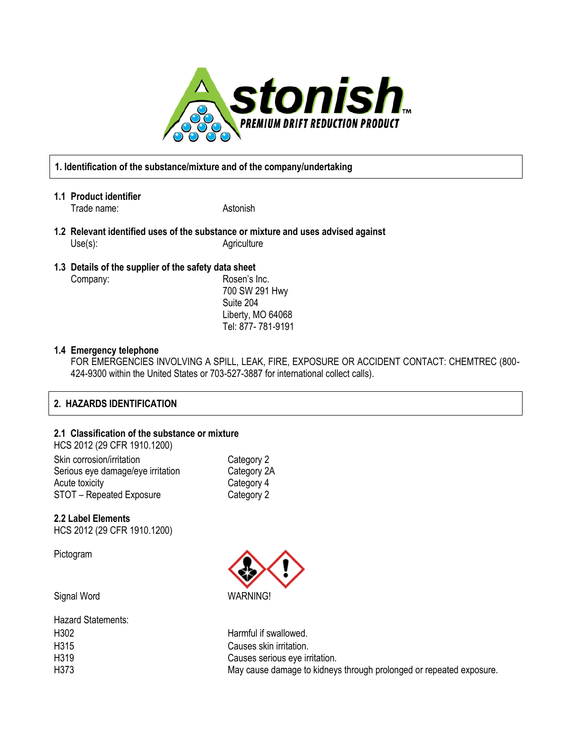

## **1. Identification of the substance/mixture and of the company/undertaking**

- **1.1 Product identifier** Trade name: Astonish
- **1.2 Relevant identified uses of the substance or mixture and uses advised against** Use(s): Agriculture
- **1.3 Details of the supplier of the safety data sheet** Company: Company: Rosen's Inc.

700 SW 291 Hwy Suite 204 Liberty, MO 64068 Tel: 877- 781-9191

## **1.4 Emergency telephone**

FOR EMERGENCIES INVOLVING A SPILL, LEAK, FIRE, EXPOSURE OR ACCIDENT CONTACT: CHEMTREC (800- 424-9300 within the United States or 703-527-3887 for international collect calls).

## **2. HAZARDS IDENTIFICATION**

#### **2.1 Classification of the substance or mixture**  $H(20.0010)(20.0500)$

| Category 2  |
|-------------|
| Category 2A |
| Category 4  |
| Category 2  |
|             |

### **2.2 Label Elements** HCS 2012 (29 CFR 1910.1200)

Pictogram

Signal Word WARNING!

| <b>Hazard Statements:</b> |                                                                     |
|---------------------------|---------------------------------------------------------------------|
| H <sub>3</sub> 02         | Harmful if swallowed.                                               |
| H315                      | Causes skin irritation.                                             |
| H <sub>3</sub> 19         | Causes serious eye irritation.                                      |
| H373                      | May cause damage to kidneys through prolonged or repeated exposure. |
|                           |                                                                     |

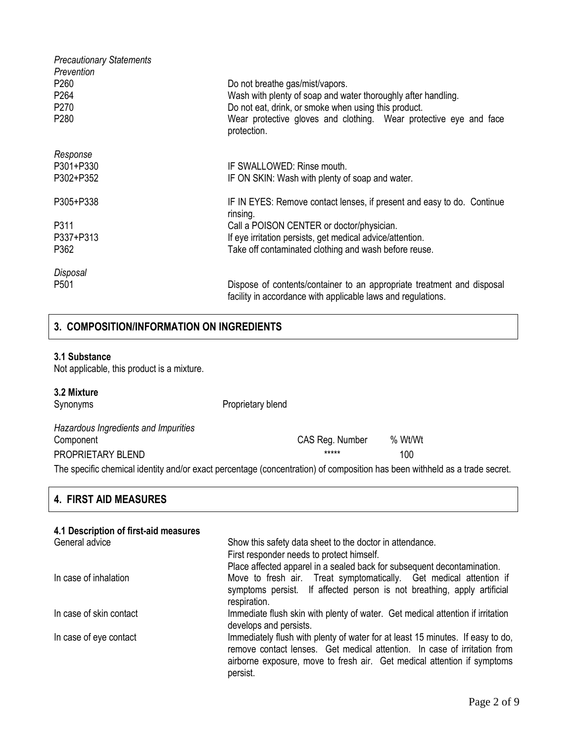| <b>Precautionary Statements</b><br>Prevention<br>P <sub>260</sub><br>P <sub>264</sub><br>P270<br>P <sub>280</sub> | Do not breathe gas/mist/vapors.<br>Wash with plenty of soap and water thoroughly after handling.<br>Do not eat, drink, or smoke when using this product.<br>Wear protective gloves and clothing. Wear protective eye and face<br>protection. |
|-------------------------------------------------------------------------------------------------------------------|----------------------------------------------------------------------------------------------------------------------------------------------------------------------------------------------------------------------------------------------|
| Response<br>P301+P330<br>P302+P352                                                                                | IF SWALLOWED: Rinse mouth.<br>IF ON SKIN: Wash with plenty of soap and water.                                                                                                                                                                |
| P305+P338                                                                                                         | IF IN EYES: Remove contact lenses, if present and easy to do. Continue<br>rinsing.                                                                                                                                                           |
| P311<br>P337+P313                                                                                                 | Call a POISON CENTER or doctor/physician.<br>If eye irritation persists, get medical advice/attention.                                                                                                                                       |
| P362                                                                                                              | Take off contaminated clothing and wash before reuse.                                                                                                                                                                                        |
| Disposal<br>P <sub>501</sub>                                                                                      | Dispose of contents/container to an appropriate treatment and disposal<br>facility in accordance with applicable laws and regulations.                                                                                                       |

## **3. COMPOSITION/INFORMATION ON INGREDIENTS**

#### **3.1 Substance**

Not applicable, this product is a mixture.

## **3.2 Mixture**

Synonyms **Proprietary blend** 

| Hazardous Ingredients and Impurities |                 |         |
|--------------------------------------|-----------------|---------|
| Component                            | CAS Reg. Number | % Wt/Wt |
| PROPRIETARY BLEND                    | *****           | 100     |

The specific chemical identity and/or exact percentage (concentration) of composition has been withheld as a trade secret.

## **4. FIRST AID MEASURES**

| 4.1 Description of first-aid measures |                                                                                                                                                                                                                                                   |
|---------------------------------------|---------------------------------------------------------------------------------------------------------------------------------------------------------------------------------------------------------------------------------------------------|
| General advice                        | Show this safety data sheet to the doctor in attendance.                                                                                                                                                                                          |
|                                       | First responder needs to protect himself.                                                                                                                                                                                                         |
|                                       | Place affected apparel in a sealed back for subsequent decontamination.                                                                                                                                                                           |
| In case of inhalation                 | Move to fresh air. Treat symptomatically. Get medical attention if<br>symptoms persist. If affected person is not breathing, apply artificial<br>respiration.                                                                                     |
|                                       |                                                                                                                                                                                                                                                   |
| In case of skin contact               | Immediate flush skin with plenty of water. Get medical attention if irritation<br>develops and persists.                                                                                                                                          |
| In case of eye contact                | Immediately flush with plenty of water for at least 15 minutes. If easy to do,<br>remove contact lenses. Get medical attention. In case of irritation from<br>airborne exposure, move to fresh air. Get medical attention if symptoms<br>persist. |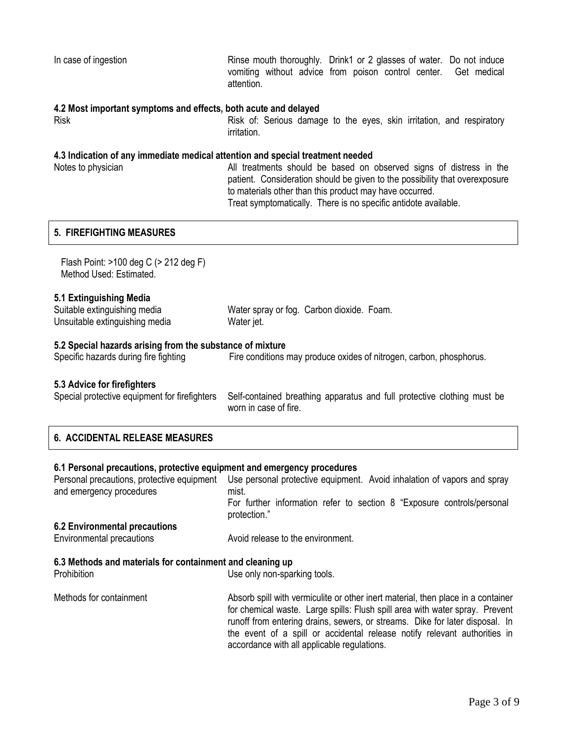#### **4.2 Most important symptoms and effects, both acute and delayed**

Risk Risk Risk of: Serious damage to the eyes, skin irritation, and respiratory irritation.

#### **4.3 Indication of any immediate medical attention and special treatment needed**

Notes to physician and All treatments should be based on observed signs of distress in the patient. Consideration should be given to the possibility that overexposure to materials other than this product may have occurred. Treat symptomatically. There is no specific antidote available.

## **5. FIREFIGHTING MEASURES**

 Flash Point: >100 deg C (> 212 deg F) Method Used: Estimated.

### **5.1 Extinguishing Media**

| Suitable extinguishing media   | Water spray or fog. Carbon dioxide. Foam. |  |
|--------------------------------|-------------------------------------------|--|
| Unsuitable extinguishing media | Water jet.                                |  |

## **5.2 Special hazards arising from the substance of mixture**

Specific hazards during fire fighting Fire conditions may produce oxides of nitrogen, carbon, phosphorus.

## **5.3 Advice for firefighters**

Special protective equipment for firefighters Self-contained breathing apparatus and full protective clothing must be worn in case of fire.

## **6.1 Personal precautions, protective equipment and emergency procedures**

| Personal precautions, protective equipment<br>and emergency procedures   | Use personal protective equipment. Avoid inhalation of vapors and spray<br>mist.<br>For further information refer to section 8 "Exposure controls/personal<br>protection."                                                                                                                                                                                                   |
|--------------------------------------------------------------------------|------------------------------------------------------------------------------------------------------------------------------------------------------------------------------------------------------------------------------------------------------------------------------------------------------------------------------------------------------------------------------|
| <b>6.2 Environmental precautions</b>                                     |                                                                                                                                                                                                                                                                                                                                                                              |
| Environmental precautions                                                | Avoid release to the environment.                                                                                                                                                                                                                                                                                                                                            |
| 6.3 Methods and materials for containment and cleaning up<br>Prohibition | Use only non-sparking tools.                                                                                                                                                                                                                                                                                                                                                 |
| Methods for containment                                                  | Absorb spill with vermiculite or other inert material, then place in a container<br>for chemical waste. Large spills: Flush spill area with water spray. Prevent<br>runoff from entering drains, sewers, or streams. Dike for later disposal. In<br>the event of a spill or accidental release notify relevant authorities in<br>accordance with all applicable regulations. |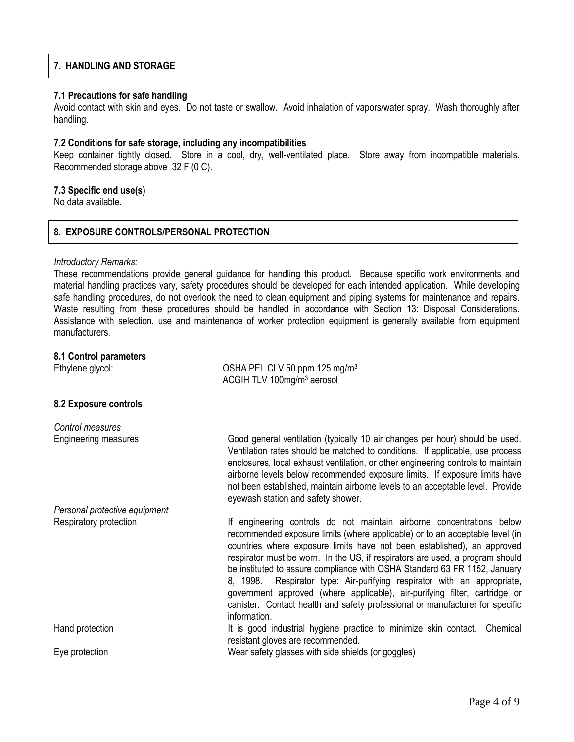## **7. HANDLING AND STORAGE**

### **7.1 Precautions for safe handling**

Avoid contact with skin and eyes. Do not taste or swallow. Avoid inhalation of vapors/water spray. Wash thoroughly after handling.

#### **7.2 Conditions for safe storage, including any incompatibilities**

Keep container tightly closed. Store in a cool, dry, well-ventilated place. Store away from incompatible materials. Recommended storage above 32 F (0 C).

## **7.3 Specific end use(s)**

No data available.

## **8. EXPOSURE CONTROLS/PERSONAL PROTECTION**

### *Introductory Remarks:*

These recommendations provide general guidance for handling this product. Because specific work environments and material handling practices vary, safety procedures should be developed for each intended application. While developing safe handling procedures, do not overlook the need to clean equipment and piping systems for maintenance and repairs. Waste resulting from these procedures should be handled in accordance with Section 13: Disposal Considerations. Assistance with selection, use and maintenance of worker protection equipment is generally available from equipment manufacturers.

### **8.1 Control parameters**

| Ethylene glycol:              | OSHA PEL CLV 50 ppm 125 mg/m <sup>3</sup><br>ACGIH TLV 100mg/m <sup>3</sup> aerosol                                                                                                                                                                                                                                                                                                                                                                                                                                                                                                                                                                      |
|-------------------------------|----------------------------------------------------------------------------------------------------------------------------------------------------------------------------------------------------------------------------------------------------------------------------------------------------------------------------------------------------------------------------------------------------------------------------------------------------------------------------------------------------------------------------------------------------------------------------------------------------------------------------------------------------------|
| 8.2 Exposure controls         |                                                                                                                                                                                                                                                                                                                                                                                                                                                                                                                                                                                                                                                          |
| Control measures              |                                                                                                                                                                                                                                                                                                                                                                                                                                                                                                                                                                                                                                                          |
| <b>Engineering measures</b>   | Good general ventilation (typically 10 air changes per hour) should be used.<br>Ventilation rates should be matched to conditions. If applicable, use process<br>enclosures, local exhaust ventilation, or other engineering controls to maintain<br>airborne levels below recommended exposure limits. If exposure limits have<br>not been established, maintain airborne levels to an acceptable level. Provide<br>eyewash station and safety shower.                                                                                                                                                                                                  |
| Personal protective equipment |                                                                                                                                                                                                                                                                                                                                                                                                                                                                                                                                                                                                                                                          |
| Respiratory protection        | If engineering controls do not maintain airborne concentrations below<br>recommended exposure limits (where applicable) or to an acceptable level (in<br>countries where exposure limits have not been established), an approved<br>respirator must be worn. In the US, if respirators are used, a program should<br>be instituted to assure compliance with OSHA Standard 63 FR 1152, January<br>8, 1998. Respirator type: Air-purifying respirator with an appropriate,<br>government approved (where applicable), air-purifying filter, cartridge or<br>canister. Contact health and safety professional or manufacturer for specific<br>information. |
| Hand protection               | It is good industrial hygiene practice to minimize skin contact.<br>Chemical<br>resistant gloves are recommended.                                                                                                                                                                                                                                                                                                                                                                                                                                                                                                                                        |
| Eye protection                | Wear safety glasses with side shields (or goggles)                                                                                                                                                                                                                                                                                                                                                                                                                                                                                                                                                                                                       |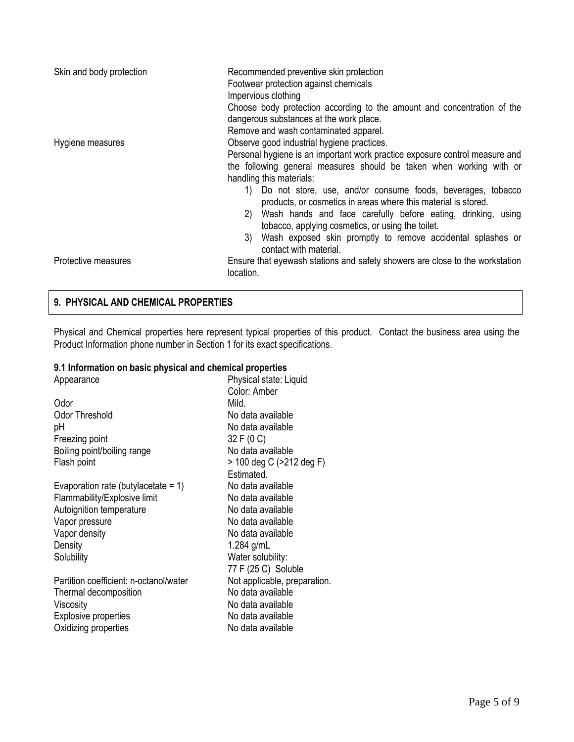| Skin and body protection | Recommended preventive skin protection<br>Footwear protection against chemicals<br>Impervious clothing<br>Choose body protection according to the amount and concentration of the<br>dangerous substances at the work place.<br>Remove and wash contaminated apparel.                                                                                                                                                                                                                                                                                                                         |
|--------------------------|-----------------------------------------------------------------------------------------------------------------------------------------------------------------------------------------------------------------------------------------------------------------------------------------------------------------------------------------------------------------------------------------------------------------------------------------------------------------------------------------------------------------------------------------------------------------------------------------------|
| Hygiene measures         | Observe good industrial hygiene practices.<br>Personal hygiene is an important work practice exposure control measure and<br>the following general measures should be taken when working with or<br>handling this materials:<br>Do not store, use, and/or consume foods, beverages, tobacco<br>1)<br>products, or cosmetics in areas where this material is stored.<br>Wash hands and face carefully before eating, drinking, using<br>2)<br>tobacco, applying cosmetics, or using the toilet.<br>Wash exposed skin promptly to remove accidental splashes or<br>3)<br>contact with material. |
| Protective measures      | Ensure that eyewash stations and safety showers are close to the workstation<br>location.                                                                                                                                                                                                                                                                                                                                                                                                                                                                                                     |

## **9. PHYSICAL AND CHEMICAL PROPERTIES**

Physical and Chemical properties here represent typical properties of this product. Contact the business area using the Product Information phone number in Section 1 for its exact specifications.

## **9.1 Information on basic physical and chemical properties**

| Appearance                             | Physical state: Liquid       |
|----------------------------------------|------------------------------|
|                                        | Color: Amber                 |
| Odor                                   | Mild.                        |
| <b>Odor Threshold</b>                  | No data available            |
| рH                                     | No data available            |
| Freezing point                         | 32 F (0 C)                   |
| Boiling point/boiling range            | No data available            |
| Flash point                            | > 100 deg C (>212 deg F)     |
|                                        | Estimated.                   |
| Evaporation rate (butylacetate = $1$ ) | No data available            |
| Flammability/Explosive limit           | No data available            |
| Autoignition temperature               | No data available            |
| Vapor pressure                         | No data available            |
| Vapor density                          | No data available            |
| Density                                | 1.284 $g/mL$                 |
| Solubility                             | Water solubility:            |
|                                        | 77 F (25 C) Soluble          |
| Partition coefficient: n-octanol/water | Not applicable, preparation. |
| Thermal decomposition                  | No data available            |
| Viscosity                              | No data available            |
| <b>Explosive properties</b>            | No data available            |
| Oxidizing properties                   | No data available            |
|                                        |                              |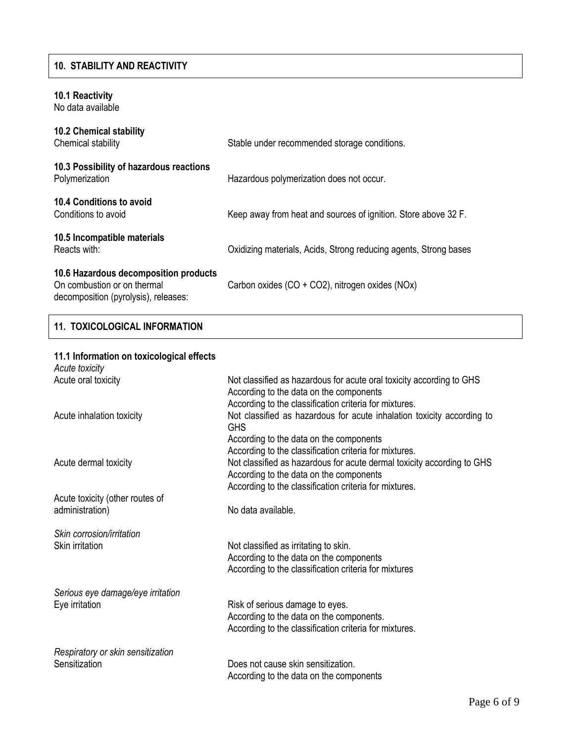## **10. STABILITY AND REACTIVITY**

## **10.1 Reactivity**

No data available

| <b>10.2 Chemical stability</b><br>Chemical stability                                                         | Stable under recommended storage conditions.                     |
|--------------------------------------------------------------------------------------------------------------|------------------------------------------------------------------|
| 10.3 Possibility of hazardous reactions<br>Polymerization                                                    | Hazardous polymerization does not occur.                         |
| 10.4 Conditions to avoid<br>Conditions to avoid                                                              | Keep away from heat and sources of ignition. Store above 32 F.   |
| 10.5 Incompatible materials<br>Reacts with:                                                                  | Oxidizing materials, Acids, Strong reducing agents, Strong bases |
| 10.6 Hazardous decomposition products<br>On combustion or on thermal<br>decomposition (pyrolysis), releases: | Carbon oxides (CO + CO2), nitrogen oxides (NOx)                  |

## **11. TOXICOLOGICAL INFORMATION**

## **11.1 Information on toxicological effects**

| Acute toxicity                    |                                                                                      |
|-----------------------------------|--------------------------------------------------------------------------------------|
| Acute oral toxicity               | Not classified as hazardous for acute oral toxicity according to GHS                 |
|                                   | According to the data on the components                                              |
|                                   | According to the classification criteria for mixtures.                               |
| Acute inhalation toxicity         | Not classified as hazardous for acute inhalation toxicity according to<br><b>GHS</b> |
|                                   | According to the data on the components                                              |
|                                   | According to the classification criteria for mixtures.                               |
| Acute dermal toxicity             | Not classified as hazardous for acute dermal toxicity according to GHS               |
|                                   | According to the data on the components                                              |
|                                   | According to the classification criteria for mixtures.                               |
| Acute toxicity (other routes of   |                                                                                      |
| administration)                   | No data available.                                                                   |
| Skin corrosion/irritation         |                                                                                      |
| Skin irritation                   | Not classified as irritating to skin.                                                |
|                                   | According to the data on the components                                              |
|                                   | According to the classification criteria for mixtures                                |
|                                   |                                                                                      |
| Serious eye damage/eye irritation |                                                                                      |
| Eye irritation                    | Risk of serious damage to eyes.                                                      |
|                                   | According to the data on the components.                                             |
|                                   | According to the classification criteria for mixtures.                               |
| Respiratory or skin sensitization |                                                                                      |
| Sensitization                     | Does not cause skin sensitization.                                                   |
|                                   | According to the data on the components                                              |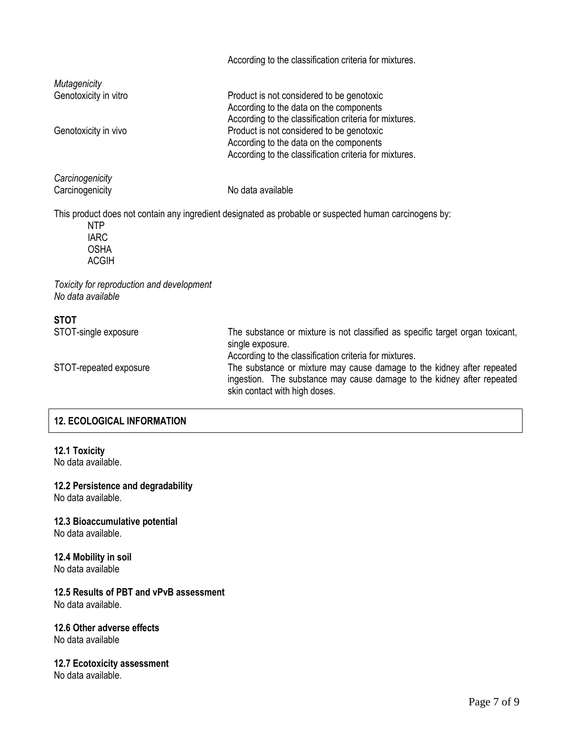|                                                                | According to the classification criteria for mixtures.                                                                                                                                                                                                                                                                                           |
|----------------------------------------------------------------|--------------------------------------------------------------------------------------------------------------------------------------------------------------------------------------------------------------------------------------------------------------------------------------------------------------------------------------------------|
| Mutagenicity<br>Genotoxicity in vitro<br>Genotoxicity in vivo  | Product is not considered to be genotoxic<br>According to the data on the components<br>According to the classification criteria for mixtures.<br>Product is not considered to be genotoxic<br>According to the data on the components<br>According to the classification criteria for mixtures.                                                 |
| Carcinogenicity<br>Carcinogenicity                             | No data available                                                                                                                                                                                                                                                                                                                                |
| <b>NTP</b><br><b>IARC</b><br><b>OSHA</b><br><b>ACGIH</b>       | This product does not contain any ingredient designated as probable or suspected human carcinogens by:                                                                                                                                                                                                                                           |
| Toxicity for reproduction and development<br>No data available |                                                                                                                                                                                                                                                                                                                                                  |
| <b>STOT</b><br>STOT-single exposure<br>STOT-repeated exposure  | The substance or mixture is not classified as specific target organ toxicant,<br>single exposure.<br>According to the classification criteria for mixtures.<br>The substance or mixture may cause damage to the kidney after repeated<br>ingestion. The substance may cause damage to the kidney after repeated<br>skin contact with high doses. |

## **12. ECOLOGICAL INFORMATION**

**12.1 Toxicity**

No data available.

**12.2 Persistence and degradability** No data available.

## **12.3 Bioaccumulative potential**

No data available.

**12.4 Mobility in soil** No data available

## **12.5 Results of PBT and vPvB assessment** No data available.

# **12.6 Other adverse effects**

No data available

## **12.7 Ecotoxicity assessment**

No data available.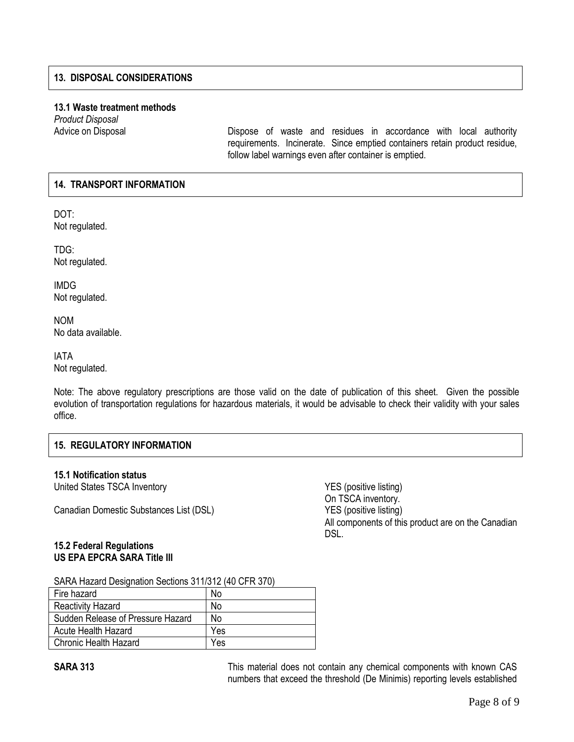## **13. DISPOSAL CONSIDERATIONS**

## **13.1 Waste treatment methods**

*Product Disposal*

Advice on Disposal **Dispose** of waste and residues in accordance with local authority requirements. Incinerate. Since emptied containers retain product residue, follow label warnings even after container is emptied.

## **14. TRANSPORT INFORMATION**

DOT: Not regulated.

TDG: Not regulated.

IMDG Not regulated.

NOM No data available.

IATA Not regulated.

Note: The above regulatory prescriptions are those valid on the date of publication of this sheet. Given the possible evolution of transportation regulations for hazardous materials, it would be advisable to check their validity with your sales office.

## **15. REGULATORY INFORMATION**

## **15.1 Notification status**

United States TSCA Inventory **VES** (positive listing)

Canadian Domestic Substances List (DSL) YES (positive listing)

On TSCA inventory. All components of this product are on the Canadian DSL.

## **15.2 Federal Regulations US EPA EPCRA SARA Title III**

SARA Hazard Designation Sections 311/312 (40 CFR 370)

| Fire hazard                       | No             |
|-----------------------------------|----------------|
| <b>Reactivity Hazard</b>          | No             |
| Sudden Release of Pressure Hazard | N <sub>0</sub> |
| Acute Health Hazard               | Yes            |
| <b>Chronic Health Hazard</b>      | Yes            |

**SARA 313** This material does not contain any chemical components with known CAS numbers that exceed the threshold (De Minimis) reporting levels established